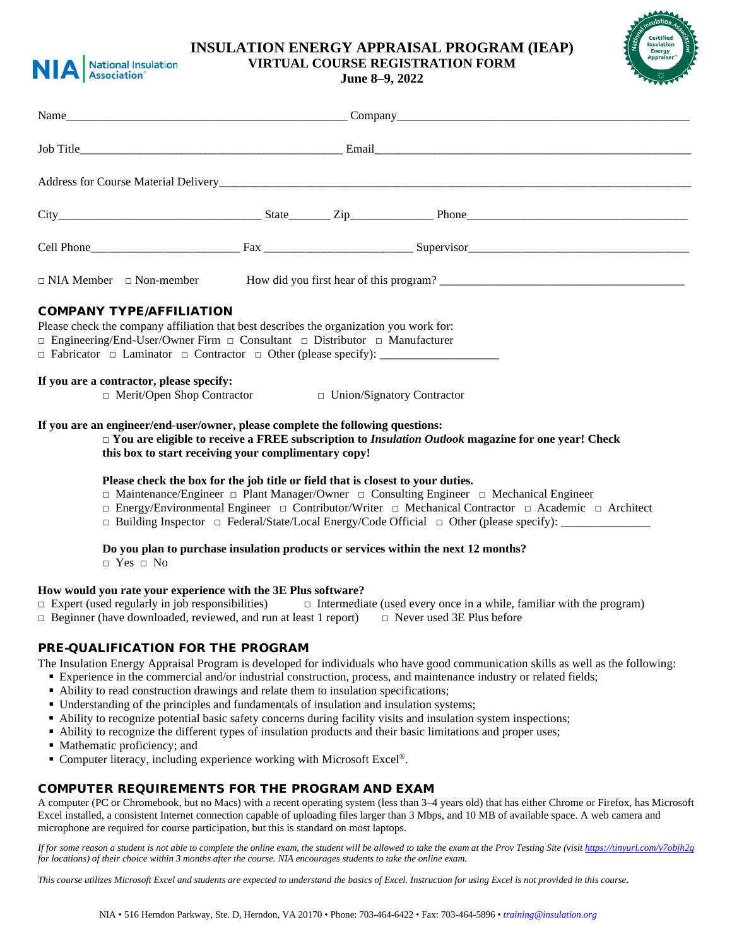

## **INSULATION ENERGY APPRAISAL PROGRAM (IEAP) VIRTUAL COURSE REGISTRATION FORM**

**June 8–9, 2022**



|                                                                                                                                                                                                                                                                                                                                                  |  |  | $City$ Phone Phone Phone Phone Phone Phone Phone Phone Phone Phone Phone Phone Phone Phone Phone Phone Phone Phone Phone Phone Phone Phone Phone Phone Phone Phone Phone Phone Phone Phone Phone Phone Phone Phone Phone Phone P                                                                                                                         |  |
|--------------------------------------------------------------------------------------------------------------------------------------------------------------------------------------------------------------------------------------------------------------------------------------------------------------------------------------------------|--|--|----------------------------------------------------------------------------------------------------------------------------------------------------------------------------------------------------------------------------------------------------------------------------------------------------------------------------------------------------------|--|
|                                                                                                                                                                                                                                                                                                                                                  |  |  |                                                                                                                                                                                                                                                                                                                                                          |  |
|                                                                                                                                                                                                                                                                                                                                                  |  |  | $\Box$ NIA Member $\Box$ Non-member How did you first hear of this program?                                                                                                                                                                                                                                                                              |  |
| <b>COMPANY TYPE/AFFILIATION</b><br>Please check the company affiliation that best describes the organization you work for:<br>$\Box$ Engineering/End-User/Owner Firm $\Box$ Consultant $\Box$ Distributor $\Box$ Manufacturer<br>If you are a contractor, please specify:<br>$\Box$ Merit/Open Shop Contractor $\Box$ Union/Signatory Contractor |  |  |                                                                                                                                                                                                                                                                                                                                                          |  |
| If you are an engineer/end-user/owner, please complete the following questions:<br>this box to start receiving your complimentary copy!                                                                                                                                                                                                          |  |  | $\Box$ You are eligible to receive a FREE subscription to Insulation Outlook magazine for one year! Check                                                                                                                                                                                                                                                |  |
| Please check the box for the job title or field that is closest to your duties.                                                                                                                                                                                                                                                                  |  |  | $\Box$ Maintenance/Engineer $\Box$ Plant Manager/Owner $\Box$ Consulting Engineer $\Box$ Mechanical Engineer<br>$\Box$ Energy/Environmental Engineer $\Box$ Contributor/Writer $\Box$ Mechanical Contractor $\Box$ Academic $\Box$ Architect<br>$\Box$ Building Inspector $\Box$ Federal/State/Local Energy/Code Official $\Box$ Other (please specify): |  |

# **Do you plan to purchase insulation products or services within the next 12 months?**

 $\neg$  Yes  $\Box$  No

#### **How would you rate your experience with the 3E Plus software?**

- □ Expert (used regularly in job responsibilities) □ Intermediate (used every once in a while, familiar with the program)
- $\Box$  Beginner (have downloaded, reviewed, and run at least 1 report)  $\Box$  Never used 3E Plus before

## PRE-QUALIFICATION FOR THE PROGRAM

The Insulation Energy Appraisal Program is developed for individuals who have good communication skills as well as the following:

- Experience in the commercial and/or industrial construction, process, and maintenance industry or related fields;
- Ability to read construction drawings and relate them to insulation specifications;
- Understanding of the principles and fundamentals of insulation and insulation systems;
- Ability to recognize potential basic safety concerns during facility visits and insulation system inspections;
- Ability to recognize the different types of insulation products and their basic limitations and proper uses;
- Mathematic proficiency; and
- Computer literacy, including experience working with Microsoft Excel<sup>®</sup>.

## COMPUTER REQUIREMENTS FOR THE PROGRAM AND EXAM

A computer (PC or Chromebook, but no Macs) with a recent operating system (less than 3–4 years old) that has either Chrome or Firefox, has Microsoft Excel installed, a consistent Internet connection capable of uploading files larger than 3 Mbps, and 10 MB of available space. A web camera and microphone are required for course participation, but this is standard on most laptops.

*If for some reason a student is not able to complete the online exam, the student will be allowed to take the exam at the Prov Testing Site (visi[t https://tinyurl.com/y7objh2g](https://tinyurl.com/y7objh2g) for locations) of their choice within 3 months after the course. NIA encourages students to take the online exam.*

*This course utilizes Microsoft Excel and students are expected to understand the basics of Excel. Instruction for using Excel is not provided in this course.*